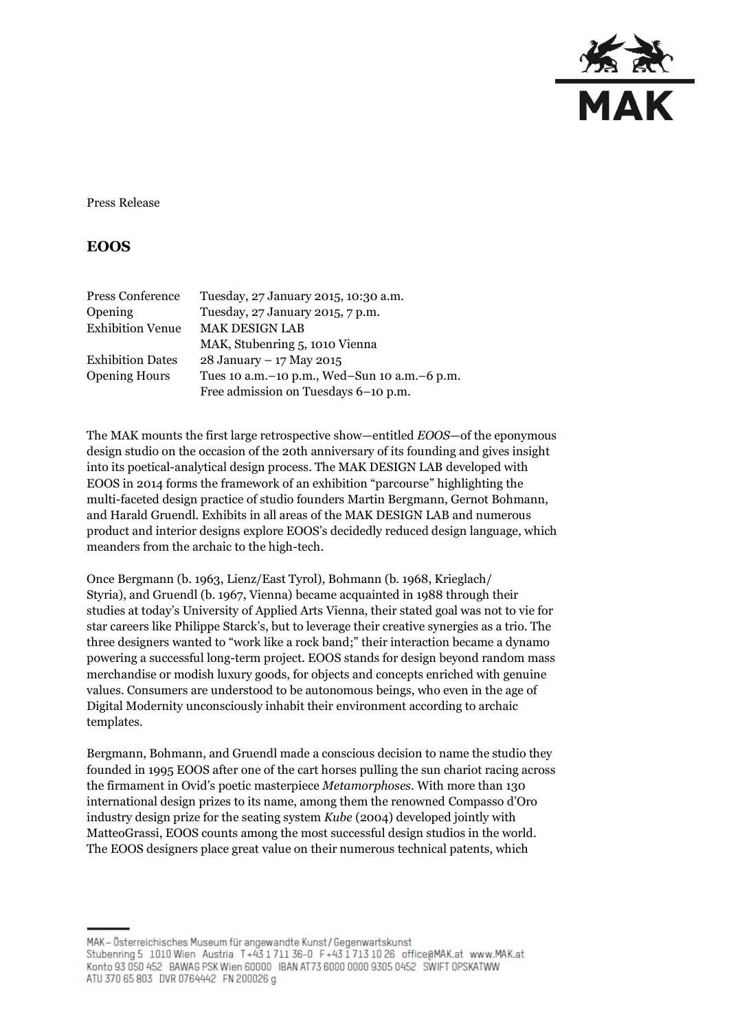

Press Release

# **EOOS**

| Press Conference        | Tuesday, 27 January 2015, 10:30 a.m.             |
|-------------------------|--------------------------------------------------|
| <b>Opening</b>          | Tuesday, 27 January 2015, 7 p.m.                 |
| <b>Exhibition Venue</b> | <b>MAK DESIGN LAB</b>                            |
|                         | MAK, Stubenring 5, 1010 Vienna                   |
| <b>Exhibition Dates</b> | 28 January - 17 May 2015                         |
| <b>Opening Hours</b>    | Tues 10 a.m. - 10 p.m., Wed-Sun 10 a.m. - 6 p.m. |
|                         | Free admission on Tuesdays 6-10 p.m.             |

The MAK mounts the first large retrospective show—entitled *EOOS*—of the eponymous design studio on the occasion of the 20th anniversary of its founding and gives insight into its poetical-analytical design process. The MAK DESIGN LAB developed with EOOS in 2014 forms the framework of an exhibition "parcourse" highlighting the multi-faceted design practice of studio founders Martin Bergmann, Gernot Bohmann, and Harald Gruendl. Exhibits in all areas of the MAK DESIGN LAB and numerous product and interior designs explore EOOS's decidedly reduced design language, which meanders from the archaic to the high-tech.

Once Bergmann (b. 1963, Lienz/East Tyrol), Bohmann (b. 1968, Krieglach/ Styria), and Gruendl (b. 1967, Vienna) became acquainted in 1988 through their studies at today's University of Applied Arts Vienna, their stated goal was not to vie for star careers like Philippe Starck's, but to leverage their creative synergies as a trio. The three designers wanted to "work like a rock band;" their interaction became a dynamo powering a successful long-term project. EOOS stands for design beyond random mass merchandise or modish luxury goods, for objects and concepts enriched with genuine values. Consumers are understood to be autonomous beings, who even in the age of Digital Modernity unconsciously inhabit their environment according to archaic templates.

Bergmann, Bohmann, and Gruendl made a conscious decision to name the studio they founded in 1995 EOOS after one of the cart horses pulling the sun chariot racing across the firmament in Ovid's poetic masterpiece *Metamorphoses*. With more than 130 international design prizes to its name, among them the renowned Compasso d'Oro industry design prize for the seating system *Kube* (2004) developed jointly with MatteoGrassi, EOOS counts among the most successful design studios in the world. The EOOS designers place great value on their numerous technical patents, which

MAK - Österreichisches Museum für angewandte Kunst/Gegenwartskunst Stubenring 5 1010 Wien Austria T+43 1711 36-0 F+43 1713 10 26 office@MAK.at www.MAK.at Konto 93 050 452 BAWAG PSK Wien 60000 IBAN AT73 6000 0000 9305 0452 SWIFT OPSKATWW ATU 370 65 803 DVR 0764442 FN 200026 g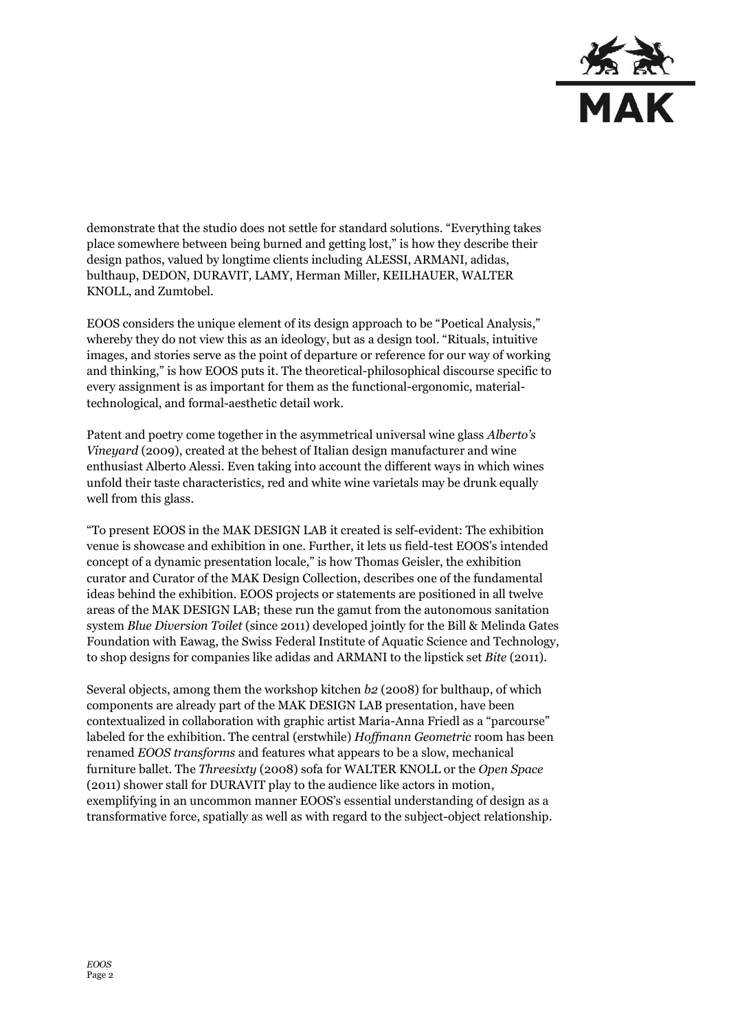

demonstrate that the studio does not settle for standard solutions. "Everything takes place somewhere between being burned and getting lost," is how they describe their design pathos, valued by longtime clients including ALESSI, ARMANI, adidas, bulthaup, DEDON, DURAVIT, LAMY, Herman Miller, KEILHAUER, WALTER KNOLL, and Zumtobel.

EOOS considers the unique element of its design approach to be "Poetical Analysis," whereby they do not view this as an ideology, but as a design tool. "Rituals, intuitive images, and stories serve as the point of departure or reference for our way of working and thinking," is how EOOS puts it. The theoretical-philosophical discourse specific to every assignment is as important for them as the functional-ergonomic, materialtechnological, and formal-aesthetic detail work.

Patent and poetry come together in the asymmetrical universal wine glass *Alberto's Vineyard* (2009), created at the behest of Italian design manufacturer and wine enthusiast Alberto Alessi. Even taking into account the different ways in which wines unfold their taste characteristics, red and white wine varietals may be drunk equally well from this glass.

"To present EOOS in the MAK DESIGN LAB it created is self-evident: The exhibition venue is showcase and exhibition in one. Further, it lets us field-test EOOS's intended concept of a dynamic presentation locale," is how Thomas Geisler, the exhibition curator and Curator of the MAK Design Collection, describes one of the fundamental ideas behind the exhibition. EOOS projects or statements are positioned in all twelve areas of the MAK DESIGN LAB; these run the gamut from the autonomous sanitation system *Blue Diversion Toilet* (since 2011) developed jointly for the Bill & Melinda Gates Foundation with Eawag, the Swiss Federal Institute of Aquatic Science and Technology, to shop designs for companies like adidas and ARMANI to the lipstick set *Bite* (2011).

Several objects, among them the workshop kitchen *b2* (2008) for bulthaup, of which components are already part of the MAK DESIGN LAB presentation, have been contextualized in collaboration with graphic artist Maria-Anna Friedl as a "parcourse" labeled for the exhibition. The central (erstwhile) *Hoffmann Geometric* room has been renamed *EOOS transforms* and features what appears to be a slow, mechanical furniture ballet. The *Threesixty* (2008) sofa for WALTER KNOLL or the *Open Space* (2011) shower stall for DURAVIT play to the audience like actors in motion, exemplifying in an uncommon manner EOOS's essential understanding of design as a transformative force, spatially as well as with regard to the subject-object relationship.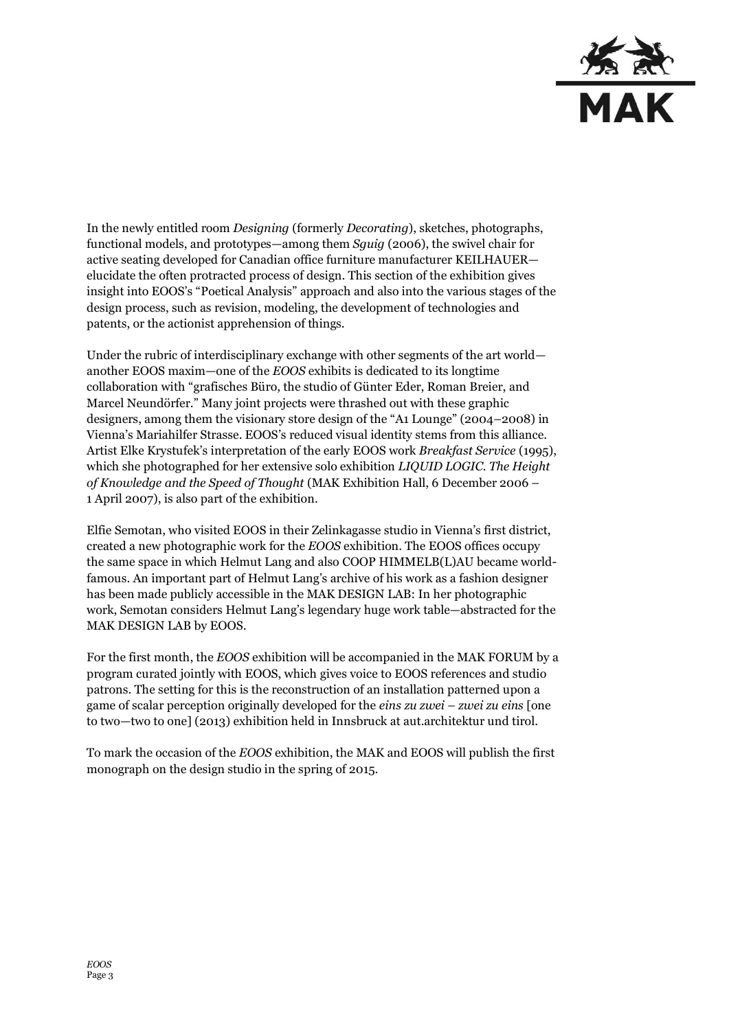

In the newly entitled room *Designing* (formerly *Decorating*), sketches, photographs, functional models, and prototypes—among them *Sguig* (2006), the swivel chair for active seating developed for Canadian office furniture manufacturer KEILHAUER elucidate the often protracted process of design. This section of the exhibition gives insight into EOOS's "Poetical Analysis" approach and also into the various stages of the design process, such as revision, modeling, the development of technologies and patents, or the actionist apprehension of things.

Under the rubric of interdisciplinary exchange with other segments of the art world another EOOS maxim—one of the *EOOS* exhibits is dedicated to its longtime collaboration with "grafisches Büro, the studio of Günter Eder, Roman Breier, and Marcel Neundörfer." Many joint projects were thrashed out with these graphic designers, among them the visionary store design of the "A1 Lounge" (2004–2008) in Vienna's Mariahilfer Strasse. EOOS's reduced visual identity stems from this alliance. Artist Elke Krystufek's interpretation of the early EOOS work *Breakfast Service* (1995), which she photographed for her extensive solo exhibition *LIQUID LOGIC. The Height of Knowledge and the Speed of Thought* (MAK Exhibition Hall, 6 December 2006 – 1 April 2007), is also part of the exhibition.

Elfie Semotan, who visited EOOS in their Zelinkagasse studio in Vienna's first district, created a new photographic work for the *EOOS* exhibition. The EOOS offices occupy the same space in which Helmut Lang and also COOP HIMMELB(L)AU became worldfamous. An important part of Helmut Lang's archive of his work as a fashion designer has been made publicly accessible in the MAK DESIGN LAB: In her photographic work, Semotan considers Helmut Lang's legendary huge work table—abstracted for the MAK DESIGN LAB by EOOS.

For the first month, the *EOOS* exhibition will be accompanied in the MAK FORUM by a program curated jointly with EOOS, which gives voice to EOOS references and studio patrons. The setting for this is the reconstruction of an installation patterned upon a game of scalar perception originally developed for the *eins zu zwei – zwei zu eins* [one to two—two to one] (2013) exhibition held in Innsbruck at aut.architektur und tirol.

To mark the occasion of the *EOOS* exhibition, the MAK and EOOS will publish the first monograph on the design studio in the spring of 2015.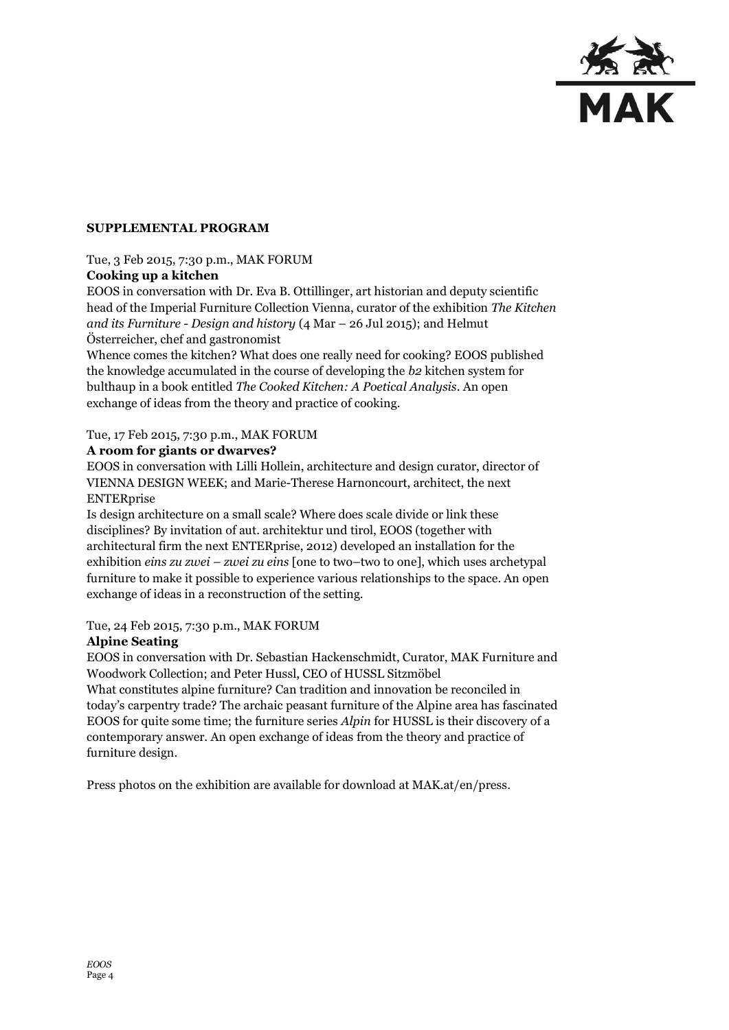

# **SUPPLEMENTAL PROGRAM**

# Tue, 3 Feb 2015, 7:30 p.m., MAK FORUM

# **Cooking up a kitchen**

EOOS in conversation with Dr. Eva B. Ottillinger, art historian and deputy scientific head of the Imperial Furniture Collection Vienna, curator of the exhibition *The Kitchen and its Furniture - Design and history* (4 Mar – 26 Jul 2015); and Helmut Österreicher, chef and gastronomist

Whence comes the kitchen? What does one really need for cooking? EOOS published the knowledge accumulated in the course of developing the *b2* kitchen system for bulthaup in a book entitled *The Cooked Kitchen: A Poetical Analysis*. An open exchange of ideas from the theory and practice of cooking.

#### Tue, 17 Feb 2015, 7:30 p.m., MAK FORUM

#### **A room for giants or dwarves?**

EOOS in conversation with Lilli Hollein, architecture and design curator, director of VIENNA DESIGN WEEK; and Marie-Therese Harnoncourt, architect, the next ENTERprise

Is design architecture on a small scale? Where does scale divide or link these disciplines? By invitation of aut. architektur und tirol, EOOS (together with architectural firm the next ENTERprise, 2012) developed an installation for the exhibition *eins zu zwei – zwei zu eins* [one to two–two to one], which uses archetypal furniture to make it possible to experience various relationships to the space. An open exchange of ideas in a reconstruction of the setting.

# Tue, 24 Feb 2015, 7:30 p.m., MAK FORUM

# **Alpine Seating**

EOOS in conversation with Dr. Sebastian Hackenschmidt, Curator, MAK Furniture and Woodwork Collection; and Peter Hussl, CEO of HUSSL Sitzmöbel What constitutes alpine furniture? Can tradition and innovation be reconciled in

today's carpentry trade? The archaic peasant furniture of the Alpine area has fascinated EOOS for quite some time; the furniture series *Alpin* for HUSSL is their discovery of a contemporary answer. An open exchange of ideas from the theory and practice of furniture design.

Press photos on the exhibition are available for download at MAK.at/en/press.